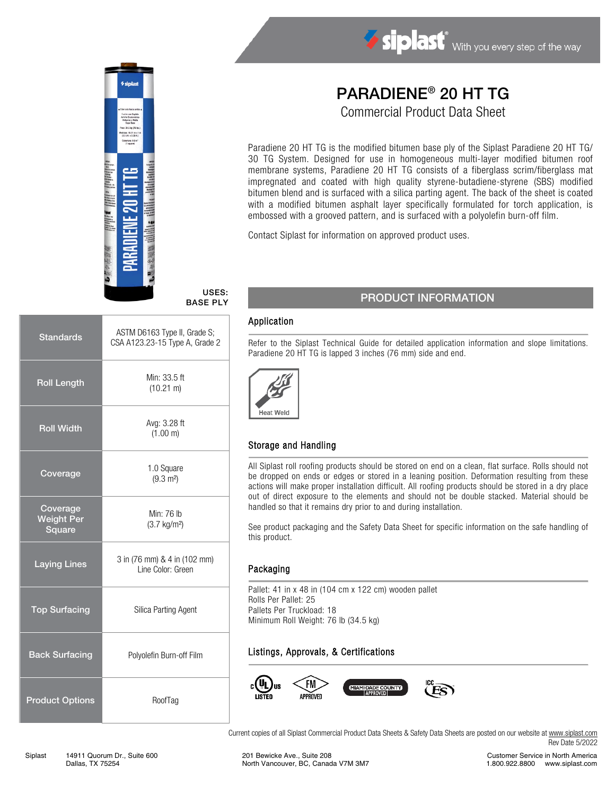

#### USES: BASE PLY

| <b>Standards</b>                        | ASTM D6163 Type II, Grade S;<br>CSA A123.23-15 Type A, Grade 2 |
|-----------------------------------------|----------------------------------------------------------------|
| <b>Roll Length</b>                      | Min: 33.5 ft<br>$(10.21 \text{ m})$                            |
| <b>Roll Width</b>                       | Avg: 3.28 ft<br>(1.00 m)                                       |
| Coverage                                | 1.0 Square<br>$(9.3 \text{ m}^2)$                              |
| Coverage<br><b>Weight Per</b><br>Square | Min: 76 lb<br>$(3.7 \text{ kg/m}^2)$                           |
| <b>Laying Lines</b>                     | 3 in (76 mm) & 4 in (102 mm)<br>Line Color: Green              |
| <b>Top Surfacing</b>                    | Silica Parting Agent                                           |
| <b>Back Surfacing</b>                   | Polyolefin Burn-off Film                                       |
| <b>Product Options</b>                  | RoofTag                                                        |

# PARADIENE® 20 HT TG Commercial Product Data Sheet

Siplast With you every step of the way

Paradiene 20 HT TG is the modified bitumen base ply of the Siplast Paradiene 20 HT TG/ 30 TG System. Designed for use in homogeneous multi-layer modified bitumen roof membrane systems, Paradiene 20 HT TG consists of a fiberglass scrim/fiberglass mat impregnated and coated with high quality styrene-butadiene-styrene (SBS) modified bitumen blend and is surfaced with a silica parting agent. The back of the sheet is coated with a modified bitumen asphalt layer specifically formulated for torch application, is embossed with a grooved pattern, and is surfaced with a polyolefin burn-off film.

Contact Siplast for information on approved product uses.

### PRODUCT INFORMATION

#### Application

Refer to the Siplast Technical Guide for detailed application information and slope limitations. Paradiene 20 HT TG is lapped 3 inches (76 mm) side and end.



#### Storage and Handling

All Siplast roll roofing products should be stored on end on a clean, flat surface. Rolls should not be dropped on ends or edges or stored in a leaning position. Deformation resulting from these actions will make proper installation difficult. All roofing products should be stored in a dry place out of direct exposure to the elements and should not be double stacked. Material should be handled so that it remains dry prior to and during installation.

See product packaging and the Safety Data Sheet for specific information on the safe handling of this product.

#### Packaging

Pallet: 41 in x 48 in (104 cm x 122 cm) wooden pallet Rolls Per Pallet: 25 Pallets Per Truckload: 18 Minimum Roll Weight: 76 lb (34.5 kg)

### Listings, Approvals, & Certifications



Current copies of all Siplast Commercial Product Data Sheets & Safety Data Sheets are posted on our website at [www.siplast.com](http://www.siplast.com/) Rev Date 5/2022